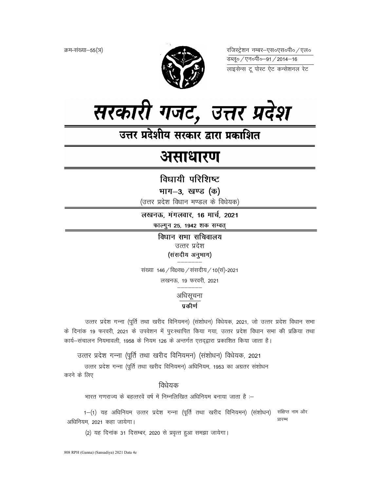क्रम-संख्या–55(ञ)



रजिस्ट्रेशन नम्बर–एस०एस०पी० ⁄ एल० लाइसेन्स टू पोस्ट ऐट कन्सेशनल रेट



उत्तर प्रदेशीय सरकार द्वारा प्रकाशित

# असाधारण

विधायी परिशिष्ट

भाग-3, खण्ड (क)

(उत्तर प्रदेश विधान मण्डल के विधेयक)

लखनऊ, मंगलवार, 16 मार्च, 2021 फाल्गुन 25, 1942 शक सम्वत्

> विधान सभा सचिवालय उत्तर प्रदेश (संसदीय अनुभाग)

संख्या 146 / वि0स0 / संसदीय / 10 (सं)-2021 लखनऊ, 19 फरवरी, 2021

अधिसूचना

# प्रकीर्ण

उत्तर प्रदेश गन्ना (पूर्ति तथा खरीद विनियमन) (संशोधन) विधेयक, 2021, जो उत्तर प्रदेश विधान सभा के दिनांक 19 फरवरी, 2021 के उपवेशन में पुरःस्थापित किया गया, उत्तर प्रदेश विधान सभा की प्रक्रिया तथा कार्य-संचालन नियमावली, 1958 के नियम 126 के अन्तर्गत एतद्द्वारा प्रकाशित किया जाता है।

उत्तर प्रदेश गन्ना (पूर्ति तथा खरीद विनियमन) (संशोधन) विधेयक, 2021

उत्तर प्रदेश गन्ना (पूर्ति तथा खरीद विनियमन) अधिनियम, 1953 का अग्रतर संशोधन करने के लिए

## विधेयक

भारत गणराज्य के बहत्तरवें वर्ष में निम्नलिखित अधिनियम बनाया जाता है :–

संक्षिप्त नाम और 1-(1) यह अधिनियम उत्तर प्रदेश गन्ना (पूर्ति तथा खरीद विनियमन) (संशोधन) प्रारम्भ अधिनियम, 2021 कहा जायेगा।

(2) यह दिनांक 31 दिसम्बर, 2020 से प्रवृत्त हुआ समझा जायेगा।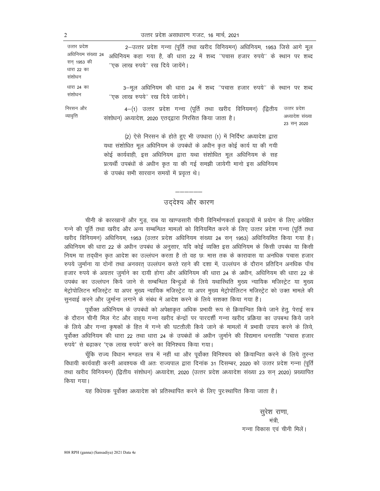उत्तर प्रदेश असाधारण गजट, 16 मार्च, 2021

| उत्तर प्रदेश                       | 2–उत्तर प्रदेश गन्ना (पूर्ति तथा खरीद विनियमन) अधिनियम, 1953 जिसे आगे मूल                                                                                                                                                                                                                                                          |                                               |
|------------------------------------|------------------------------------------------------------------------------------------------------------------------------------------------------------------------------------------------------------------------------------------------------------------------------------------------------------------------------------|-----------------------------------------------|
| अधिनियम संख्या 24                  | अधिनियम कहा गया है, की धारा 22 में शब्द "पचास हजार रुपये" के स्थान पर शब्द                                                                                                                                                                                                                                                         |                                               |
| सन 1953 की<br>धारा 22 का<br>संशोधन | "एक लाख रुपये" रख दिये जायेंगे।                                                                                                                                                                                                                                                                                                    |                                               |
| धारा 24 का<br>संशोधन               | 3–मूल अधिनियम की धारा 24 में शब्द ''पचास हजार रुपये'' के स्थान पर शब्द<br>"एक लाख रुपये" रख दिये जायेंगे।                                                                                                                                                                                                                          |                                               |
| निरसन और<br>व्यावृत्ति             | 4–(1) उत्तर प्रदेश गन्ना (पूर्ति तथा खरीद विनियमन) (द्वितीय<br>संशोधन) अध्यादेश, 2020 एतदद्वारा निरसित किया जाता है।                                                                                                                                                                                                               | उत्तर प्रदेश<br>अध्यादेश संख्या<br>23 सन 2020 |
|                                    | (2) ऐसे निरसन के होते हुए भी उपधारा (1) में निर्दिष्ट अध्यादेश द्वारा<br>यथा संशोधित मूल अधिनियम के उपबंधों के अधीन कृत कोई कार्य या की गयी<br>कोई कार्यवाही, इस अधिनियम द्वारा यथा संशोधित मूल अधिनियम के सह<br>प्रत्यर्थी उपबंधों के अधीन कृत या की गई समझी जायेगी मानो इस अधिनियम<br>के उपबंध सभी सारवान समयों में प्रवृत्त थे। |                                               |

## उद्देश्य और कारण

चीनी के कारखानों और गुड़, राब या खाण्डसारी चीनी विनिर्माणकर्ता इकाइयों में प्रयोग के लिए अपेक्षित गन्ने की पूर्ति तथा खरीद और अन्य सम्बन्धित मामलों को विनियमित करने के लिए उत्तर प्रदेश गन्ना (पूर्ति तथा खरीद विनियमन) अधिनियम, 1953 (उत्तर प्रदेश अधिनियम संख्या 24 सन् 1953) अधिनियमित किया गया है। अधिनियम की धारा 22 के अधीन उपबंध के अनुसार, यदि कोई व्यक्ति इस अधिनियम के किसी उपबंध या किसी नियम या तद्धीन कृत आदेश का उल्लंघन करता है तो वह छः मास तक के कारावास या अनधिक पचास हजार रुपये जुर्माना या दोनों तथा अनवरत् उल्लंघन करते रहने की दशा में, उल्लंघन के दौरान प्रतिदिन अनधिक पाँच हजार रुपये के अग्रतर जुर्माने का दायी होगा और अधिनियम की धारा 24 के अधीन, अधिनियम की धारा 22 के उपबंध का उल्लंघन किये जाने से सम्बन्धित बिन्दुओं के लिये यथास्थिति मुख्य न्यायिक मजिस्ट्रेट या मुख्य मेट्रोपोलिटन मजिस्ट्रेट या अपर मुख्य न्यायिक मजिस्ट्रेट या अपर मुख्य मेट्रोपोलिटन मजिस्ट्रेट को उक्त मामले की सुनवाई करने और जुर्माना लगाने के संबंध में आदेश करने के लिये सशक्त किया गया है।

पूर्वोक्त अधिनियम के उपबंधों को अपेक्षाकृत अधिक प्रभावी रूप से क्रियान्वित किये जाने हेतू, पेराई सत्र के दौरान चीनी मिल गेट और वाहय गन्ना खरीद केन्द्रों पर पारदर्शी गन्ना खरीद प्रक्रिया का उपबन्ध किये जाने के लिये और गन्ना कृषकों के हित में गन्ने की घटतौली किये जाने के मामलों में प्रभावी उपाय करने के लिये, पूर्वोक्त अधिनियम की धारा 22 तथा धारा 24 के उपबंधों के अधीन जुर्माने की विद्यमान धनराशि "पचास हजार रुपये" से बढ़ाकर "एक लाख रुपये" करने का विनिश्चय किया गया।

चूँकि राज्य विधान मण्डल सत्र में नहीं था और पूर्वोक्त विनिश्चय को क्रियान्वित करने के लिये तुरन्त विधायी कार्यवाही करनी आवश्यक थी अतः राज्यपाल द्वारा दिनांक 31 दिसम्बर, 2020 को उत्तर प्रदेश गन्ना (पूर्ति तथा खरीद विनियमन) (द्वितीय संशोधन) अध्यादेश, 2020 (उत्तर प्रदेश अध्यादेश संख्या 23 सन 2020) प्रख्यापित किया गया।

यह विधेयक पूर्वोक्त अध्यादेश को प्रतिस्थापित करने के लिए पुरःस्थापित किया जाता है।

सुरेश राणा, मंत्री. गन्ना विकास एवं चीनी मिलें।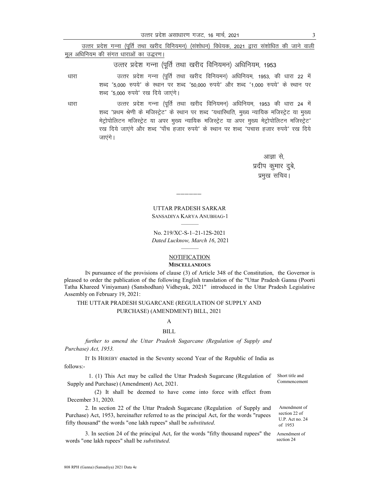|      | उत्तर प्रदेश गन्ना (पूर्ति तथा खरीद विनियमन) (संशोधन) विधेयक, 2021 द्वारा संशोधित की जाने वाली |
|------|------------------------------------------------------------------------------------------------|
|      | मूल अधिनियम की संगत धाराओं का उद्धरण।                                                          |
|      | उत्तर प्रदेश गन्ना (पूर्ति तथा खरीद विनियमन) अधिनियम, 1953                                     |
| धारा | उत्तर प्रदेश गन्ना (पूर्ति तथा खरीद विनियमन) अधिनियम, 1953, की धारा 22 में                     |
|      | शब्द "5,000 रुपये" के स्थान पर शब्द "50,000 रुपये" और शब्द "1,000 रुपये" के स्थान पर           |
|      | शब्द "5,000 रुपये" रख दिये जाएंगे।                                                             |
| धारा | उत्तर प्रदेश गन्ना (पूर्ति तथा खरीद विनियमन) अधिनियम, 1953 की धारा 24 में                      |

शब्द "प्रथम श्रेणी के मजिस्ट्रेट" के स्थान पर शब्द "यथारिथति, मुख्य न्यायिक मजिस्ट्रेट या मुख्य मेट्रोपोलिटन मजिस्ट्रेट या अपर मुख्य न्यायिक मजिस्ट्रेट या अपर मुख्य मेट्रोपोलिटन मजिस्ट्रेट" रख दिये जाएंगे और शब्द "पाँच हजार रुपये" के स्थान पर शब्द "पचास हजार रुपये" रख दिये जाएंगे।

> आज्ञा से, प्रदीप कुमार दुबे, प्रमुख सचिव।

**UTTAR PRADESH SARKAR** SANSADIYA KARYA ANUBHAG-1

No. 219/XC-S-1-21-12S-2021 Dated Lucknow, March 16, 2021

#### **NOTIFICATION MISCELLANEOUS**

IN pursuance of the provisions of clause (3) of Article 348 of the Constitution, the Governor is pleased to order the publication of the following English translation of the "Uttar Pradesh Ganna (Poorti Tatha Khareed Viniyaman) (Sanshodhan) Vidheyak, 2021" introduced in the Uttar Pradesh Legislative Assembly on February 19, 2021:

### THE UTTAR PRADESH SUGARCANE (REGULATION OF SUPPLY AND PURCHASE) (AMENDMENT) BILL, 2021

#### $\overline{A}$

#### **BILL**

further to amend the Uttar Pradesh Sugarcane (Regulation of Supply and Purchase) Act, 1953.

IT Is HEREBY enacted in the Seventy second Year of the Republic of India as follows:-

1. (1) This Act may be called the Uttar Pradesh Sugarcane (Regulation of Supply and Purchase) (Amendment) Act, 2021.

(2) It shall be deemed to have come into force with effect from December 31, 2020.

2. In section 22 of the Uttar Pradesh Sugarcane (Regulation of Supply and Purchase) Act, 1953, hereinafter referred to as the principal Act, for the words "rupees fifty thousand" the words "one lakh rupees" shall be substituted.

3. In section 24 of the principal Act, for the words "fifty thousand rupees" the words "one lakh rupees" shall be substituted.

Short title and Commencement

Amendment of section 22 of U.P. Act no. 24 of 1953

Amendment of section 24